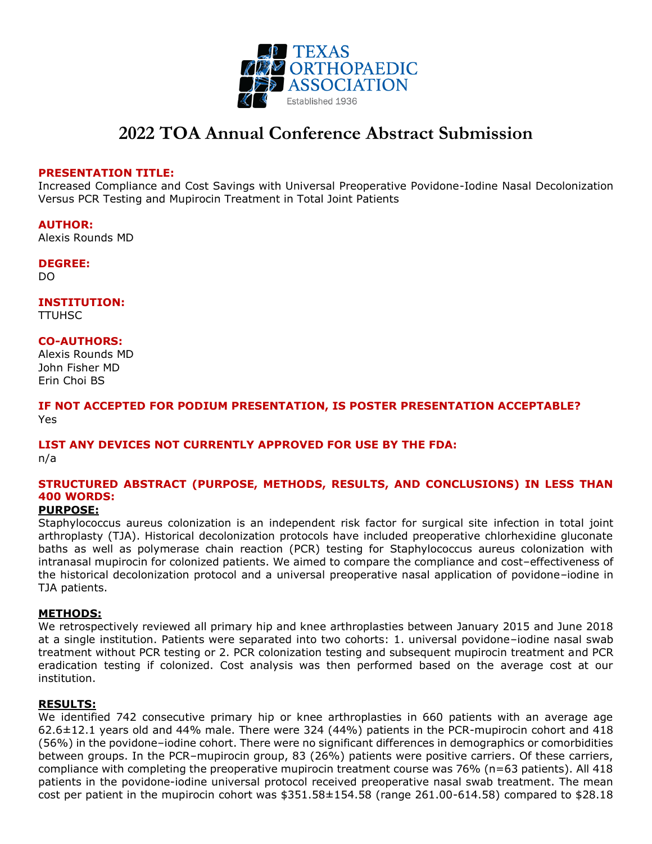

# **2022 TOA Annual Conference Abstract Submission**

#### **PRESENTATION TITLE:**

Increased Compliance and Cost Savings with Universal Preoperative Povidone-Iodine Nasal Decolonization Versus PCR Testing and Mupirocin Treatment in Total Joint Patients

**AUTHOR:** Alexis Rounds MD

**DEGREE:**

DO

**INSTITUTION:**

TTUHSC

**CO-AUTHORS:**

Alexis Rounds MD John Fisher MD Erin Choi BS

**IF NOT ACCEPTED FOR PODIUM PRESENTATION, IS POSTER PRESENTATION ACCEPTABLE?** Yes

## **LIST ANY DEVICES NOT CURRENTLY APPROVED FOR USE BY THE FDA:**

n/a

## **STRUCTURED ABSTRACT (PURPOSE, METHODS, RESULTS, AND CONCLUSIONS) IN LESS THAN 400 WORDS:**

### **PURPOSE:**

Staphylococcus aureus colonization is an independent risk factor for surgical site infection in total joint arthroplasty (TJA). Historical decolonization protocols have included preoperative chlorhexidine gluconate baths as well as polymerase chain reaction (PCR) testing for Staphylococcus aureus colonization with intranasal mupirocin for colonized patients. We aimed to compare the compliance and cost–effectiveness of the historical decolonization protocol and a universal preoperative nasal application of povidone–iodine in TJA patients.

#### **METHODS:**

We retrospectively reviewed all primary hip and knee arthroplasties between January 2015 and June 2018 at a single institution. Patients were separated into two cohorts: 1. universal povidone–iodine nasal swab treatment without PCR testing or 2. PCR colonization testing and subsequent mupirocin treatment and PCR eradication testing if colonized. Cost analysis was then performed based on the average cost at our institution.

#### **RESULTS:**

We identified 742 consecutive primary hip or knee arthroplasties in 660 patients with an average age 62.6±12.1 years old and 44% male. There were 324 (44%) patients in the PCR-mupirocin cohort and 418 (56%) in the povidone–iodine cohort. There were no significant differences in demographics or comorbidities between groups. In the PCR–mupirocin group, 83 (26%) patients were positive carriers. Of these carriers, compliance with completing the preoperative mupirocin treatment course was 76% (n=63 patients). All 418 patients in the povidone-iodine universal protocol received preoperative nasal swab treatment. The mean cost per patient in the mupirocin cohort was \$351.58±154.58 (range 261.00-614.58) compared to \$28.18